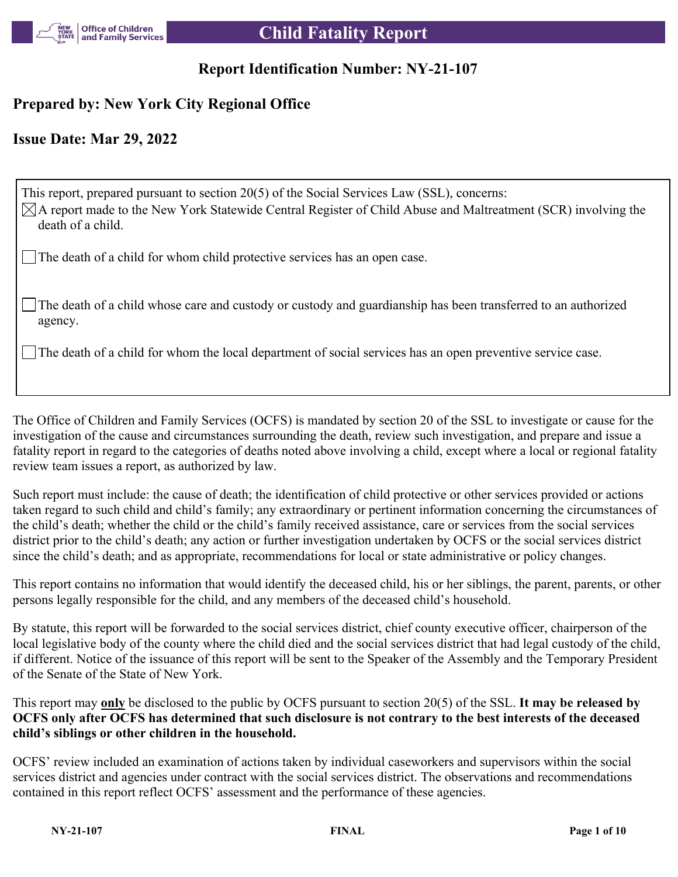

# **Report Identification Number: NY-21-107**

# **Prepared by: New York City Regional Office**

### **Issue Date: Mar 29, 2022**

This report, prepared pursuant to section 20(5) of the Social Services Law (SSL), concerns:  $\boxtimes$ A report made to the New York Statewide Central Register of Child Abuse and Maltreatment (SCR) involving the death of a child.

The death of a child for whom child protective services has an open case.

The death of a child whose care and custody or custody and guardianship has been transferred to an authorized agency.

The death of a child for whom the local department of social services has an open preventive service case.

The Office of Children and Family Services (OCFS) is mandated by section 20 of the SSL to investigate or cause for the investigation of the cause and circumstances surrounding the death, review such investigation, and prepare and issue a fatality report in regard to the categories of deaths noted above involving a child, except where a local or regional fatality review team issues a report, as authorized by law.

Such report must include: the cause of death; the identification of child protective or other services provided or actions taken regard to such child and child's family; any extraordinary or pertinent information concerning the circumstances of the child's death; whether the child or the child's family received assistance, care or services from the social services district prior to the child's death; any action or further investigation undertaken by OCFS or the social services district since the child's death; and as appropriate, recommendations for local or state administrative or policy changes.

This report contains no information that would identify the deceased child, his or her siblings, the parent, parents, or other persons legally responsible for the child, and any members of the deceased child's household.

By statute, this report will be forwarded to the social services district, chief county executive officer, chairperson of the local legislative body of the county where the child died and the social services district that had legal custody of the child, if different. Notice of the issuance of this report will be sent to the Speaker of the Assembly and the Temporary President of the Senate of the State of New York.

This report may **only** be disclosed to the public by OCFS pursuant to section 20(5) of the SSL. **It may be released by OCFS only after OCFS has determined that such disclosure is not contrary to the best interests of the deceased child's siblings or other children in the household.**

OCFS' review included an examination of actions taken by individual caseworkers and supervisors within the social services district and agencies under contract with the social services district. The observations and recommendations contained in this report reflect OCFS' assessment and the performance of these agencies.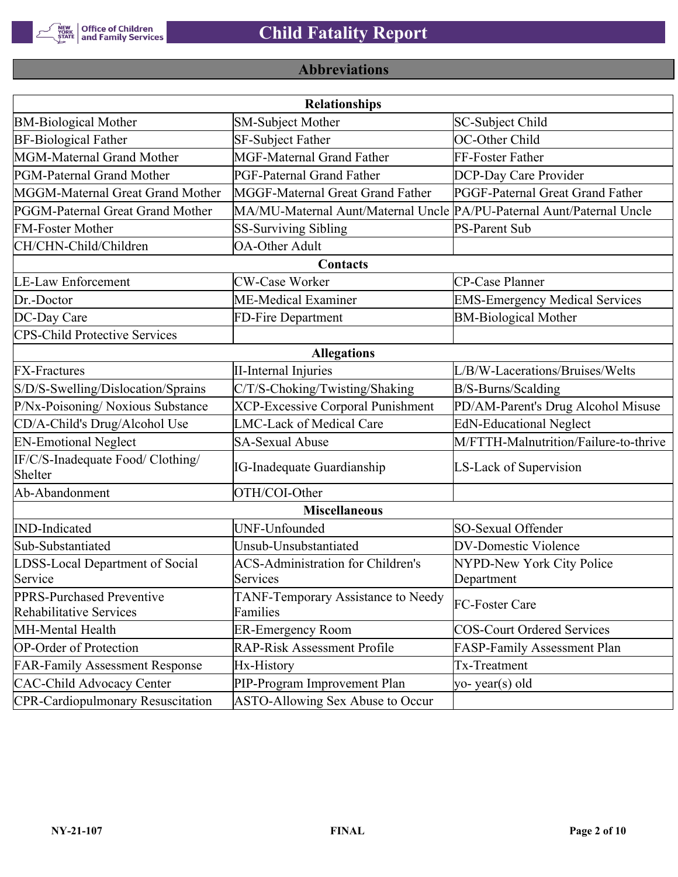

# **Abbreviations**

| <b>Relationships</b>                                 |                                                                       |                                       |  |  |  |
|------------------------------------------------------|-----------------------------------------------------------------------|---------------------------------------|--|--|--|
| <b>BM-Biological Mother</b>                          | <b>SM-Subject Mother</b>                                              | SC-Subject Child                      |  |  |  |
| <b>BF-Biological Father</b>                          | SF-Subject Father                                                     | OC-Other Child                        |  |  |  |
| MGM-Maternal Grand Mother                            | <b>MGF-Maternal Grand Father</b>                                      | FF-Foster Father                      |  |  |  |
| PGM-Paternal Grand Mother                            | <b>PGF-Paternal Grand Father</b>                                      | DCP-Day Care Provider                 |  |  |  |
| MGGM-Maternal Great Grand Mother                     | MGGF-Maternal Great Grand Father                                      | PGGF-Paternal Great Grand Father      |  |  |  |
| PGGM-Paternal Great Grand Mother                     | MA/MU-Maternal Aunt/Maternal Uncle PA/PU-Paternal Aunt/Paternal Uncle |                                       |  |  |  |
| <b>FM-Foster Mother</b>                              | <b>SS-Surviving Sibling</b>                                           | <b>PS-Parent Sub</b>                  |  |  |  |
| CH/CHN-Child/Children                                | <b>OA-Other Adult</b>                                                 |                                       |  |  |  |
|                                                      | Contacts                                                              |                                       |  |  |  |
| <b>LE-Law Enforcement</b>                            | <b>CW-Case Worker</b>                                                 | CP-Case Planner                       |  |  |  |
| Dr.-Doctor                                           | ME-Medical Examiner                                                   | <b>EMS-Emergency Medical Services</b> |  |  |  |
| DC-Day Care                                          | FD-Fire Department                                                    | <b>BM-Biological Mother</b>           |  |  |  |
| <b>CPS-Child Protective Services</b>                 |                                                                       |                                       |  |  |  |
|                                                      | <b>Allegations</b>                                                    |                                       |  |  |  |
| <b>FX-Fractures</b>                                  | <b>II-Internal Injuries</b>                                           | L/B/W-Lacerations/Bruises/Welts       |  |  |  |
| S/D/S-Swelling/Dislocation/Sprains                   | C/T/S-Choking/Twisting/Shaking                                        | B/S-Burns/Scalding                    |  |  |  |
| P/Nx-Poisoning/ Noxious Substance                    | <b>XCP-Excessive Corporal Punishment</b>                              | PD/AM-Parent's Drug Alcohol Misuse    |  |  |  |
| CD/A-Child's Drug/Alcohol Use                        | <b>LMC-Lack of Medical Care</b>                                       | <b>EdN-Educational Neglect</b>        |  |  |  |
| <b>EN-Emotional Neglect</b>                          | <b>SA-Sexual Abuse</b>                                                | M/FTTH-Malnutrition/Failure-to-thrive |  |  |  |
| IF/C/S-Inadequate Food/ Clothing/<br>Shelter         | <b>IG-Inadequate Guardianship</b>                                     | LS-Lack of Supervision                |  |  |  |
| Ab-Abandonment                                       | OTH/COI-Other                                                         |                                       |  |  |  |
|                                                      | <b>Miscellaneous</b>                                                  |                                       |  |  |  |
| <b>IND-Indicated</b>                                 | UNF-Unfounded                                                         | SO-Sexual Offender                    |  |  |  |
| Sub-Substantiated                                    | Unsub-Unsubstantiated                                                 | <b>DV-Domestic Violence</b>           |  |  |  |
| LDSS-Local Department of Social                      | <b>ACS-Administration for Children's</b>                              | NYPD-New York City Police             |  |  |  |
| Service                                              | Services                                                              | Department                            |  |  |  |
| PPRS-Purchased Preventive<br>Rehabilitative Services | TANF-Temporary Assistance to Needy<br>Families                        | FC-Foster Care                        |  |  |  |
| MH-Mental Health                                     | <b>ER-Emergency Room</b>                                              | <b>COS-Court Ordered Services</b>     |  |  |  |
| <b>OP-Order of Protection</b>                        | <b>RAP-Risk Assessment Profile</b>                                    | FASP-Family Assessment Plan           |  |  |  |
| <b>FAR-Family Assessment Response</b>                | Hx-History                                                            | Tx-Treatment                          |  |  |  |
| <b>CAC-Child Advocacy Center</b>                     | PIP-Program Improvement Plan                                          | yo-year(s) old                        |  |  |  |
| <b>CPR-Cardiopulmonary Resuscitation</b>             | ASTO-Allowing Sex Abuse to Occur                                      |                                       |  |  |  |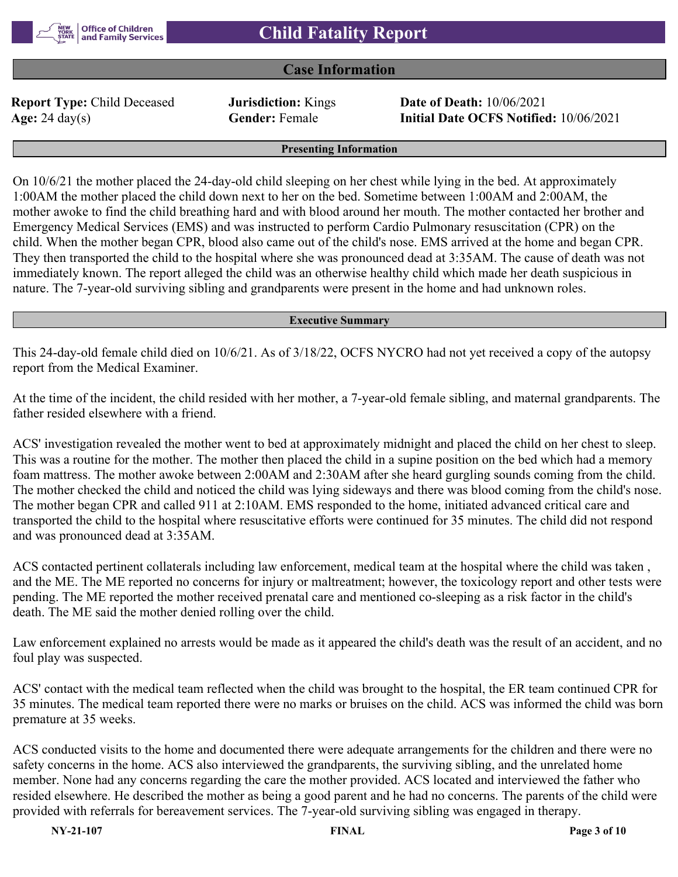

### **Case Information**

**Report Type:** Child Deceased **Jurisdiction:** Kings **Date of Death:** 10/06/2021

**Age:** 24 day(s) **Gender:** Female **Initial Date OCFS Notified:** 10/06/2021

#### **Presenting Information**

On 10/6/21 the mother placed the 24-day-old child sleeping on her chest while lying in the bed. At approximately 1:00AM the mother placed the child down next to her on the bed. Sometime between 1:00AM and 2:00AM, the mother awoke to find the child breathing hard and with blood around her mouth. The mother contacted her brother and Emergency Medical Services (EMS) and was instructed to perform Cardio Pulmonary resuscitation (CPR) on the child. When the mother began CPR, blood also came out of the child's nose. EMS arrived at the home and began CPR. They then transported the child to the hospital where she was pronounced dead at 3:35AM. The cause of death was not immediately known. The report alleged the child was an otherwise healthy child which made her death suspicious in nature. The 7-year-old surviving sibling and grandparents were present in the home and had unknown roles.

### **Executive Summary**

This 24-day-old female child died on 10/6/21. As of 3/18/22, OCFS NYCRO had not yet received a copy of the autopsy report from the Medical Examiner.

At the time of the incident, the child resided with her mother, a 7-year-old female sibling, and maternal grandparents. The father resided elsewhere with a friend.

ACS' investigation revealed the mother went to bed at approximately midnight and placed the child on her chest to sleep. This was a routine for the mother. The mother then placed the child in a supine position on the bed which had a memory foam mattress. The mother awoke between 2:00AM and 2:30AM after she heard gurgling sounds coming from the child. The mother checked the child and noticed the child was lying sideways and there was blood coming from the child's nose. The mother began CPR and called 911 at 2:10AM. EMS responded to the home, initiated advanced critical care and transported the child to the hospital where resuscitative efforts were continued for 35 minutes. The child did not respond and was pronounced dead at 3:35AM.

ACS contacted pertinent collaterals including law enforcement, medical team at the hospital where the child was taken , and the ME. The ME reported no concerns for injury or maltreatment; however, the toxicology report and other tests were pending. The ME reported the mother received prenatal care and mentioned co-sleeping as a risk factor in the child's death. The ME said the mother denied rolling over the child.

Law enforcement explained no arrests would be made as it appeared the child's death was the result of an accident, and no foul play was suspected.

ACS' contact with the medical team reflected when the child was brought to the hospital, the ER team continued CPR for 35 minutes. The medical team reported there were no marks or bruises on the child. ACS was informed the child was born premature at 35 weeks.

ACS conducted visits to the home and documented there were adequate arrangements for the children and there were no safety concerns in the home. ACS also interviewed the grandparents, the surviving sibling, and the unrelated home member. None had any concerns regarding the care the mother provided. ACS located and interviewed the father who resided elsewhere. He described the mother as being a good parent and he had no concerns. The parents of the child were provided with referrals for bereavement services. The 7-year-old surviving sibling was engaged in therapy.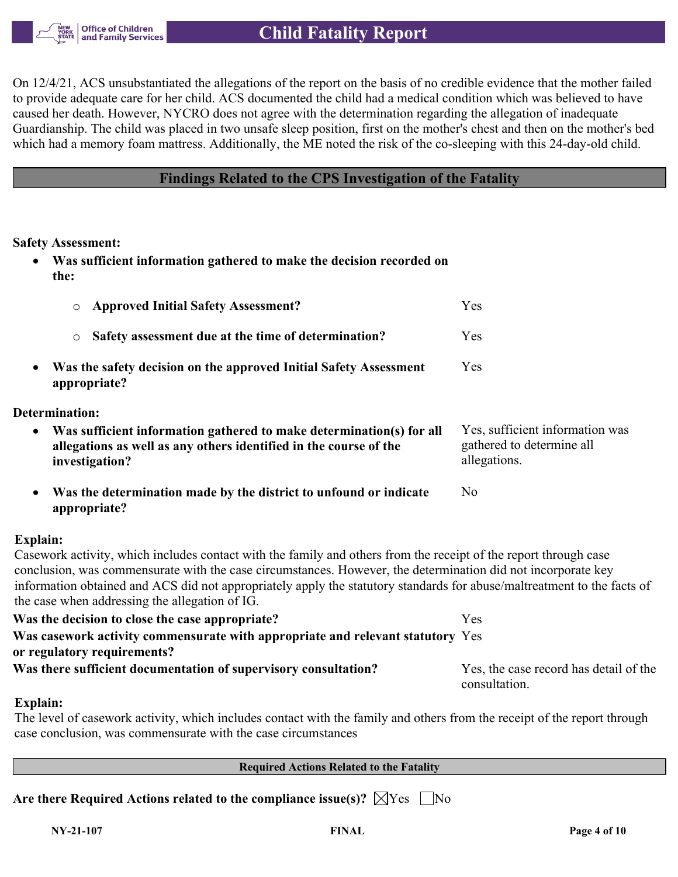On 12/4/21, ACS unsubstantiated the allegations of the report on the basis of no credible evidence that the mother failed to provide adequate care for her child. ACS documented the child had a medical condition which was believed to have caused her death. However, NYCRO does not agree with the determination regarding the allegation of inadequate Guardianship. The child was placed in two unsafe sleep position, first on the mother's chest and then on the mother's bed which had a memory foam mattress. Additionally, the ME noted the risk of the co-sleeping with this 24-day-old child.

### **Findings Related to the CPS Investigation of the Fatality**

**Safety Assessment:**

 **Was sufficient information gathered to make the decision recorded on the:**

| <b>Approved Initial Safety Assessment?</b><br>$\circ$                                                                                                                                                                                                                                                                                                                                                         | Yes                                                                          |
|---------------------------------------------------------------------------------------------------------------------------------------------------------------------------------------------------------------------------------------------------------------------------------------------------------------------------------------------------------------------------------------------------------------|------------------------------------------------------------------------------|
| Safety assessment due at the time of determination?<br>$\circ$                                                                                                                                                                                                                                                                                                                                                | Yes                                                                          |
| Was the safety decision on the approved Initial Safety Assessment<br>$\bullet$<br>appropriate?                                                                                                                                                                                                                                                                                                                | Yes                                                                          |
| Determination:                                                                                                                                                                                                                                                                                                                                                                                                |                                                                              |
| Was sufficient information gathered to make determination(s) for all<br>$\bullet$<br>allegations as well as any others identified in the course of the<br>investigation?                                                                                                                                                                                                                                      | Yes, sufficient information was<br>gathered to determine all<br>allegations. |
| Was the determination made by the district to unfound or indicate<br>$\bullet$<br>appropriate?                                                                                                                                                                                                                                                                                                                | No                                                                           |
| <b>Explain:</b>                                                                                                                                                                                                                                                                                                                                                                                               |                                                                              |
| Casework activity, which includes contact with the family and others from the receipt of the report through case<br>conclusion, was commensurate with the case circumstances. However, the determination did not incorporate key<br>information obtained and ACS did not appropriately apply the statutory standards for abuse/maltreatment to the facts of<br>the case when addressing the allegation of IG. |                                                                              |
| Was the decision to close the case appropriate?                                                                                                                                                                                                                                                                                                                                                               | Yes                                                                          |
| Was casework activity commensurate with appropriate and relevant statutory Yes<br>or regulatory requirements?                                                                                                                                                                                                                                                                                                 |                                                                              |

**Was there sufficient documentation of supervisory consultation?** Yes, the case record has detail of the

# consultation.

### **Explain:**

The level of casework activity, which includes contact with the family and others from the receipt of the report through case conclusion, was commensurate with the case circumstances

### **Required Actions Related to the Fatality**

**Are there Required Actions related to the compliance issue(s)?**  $\boxtimes$  Yes  $\Box$  No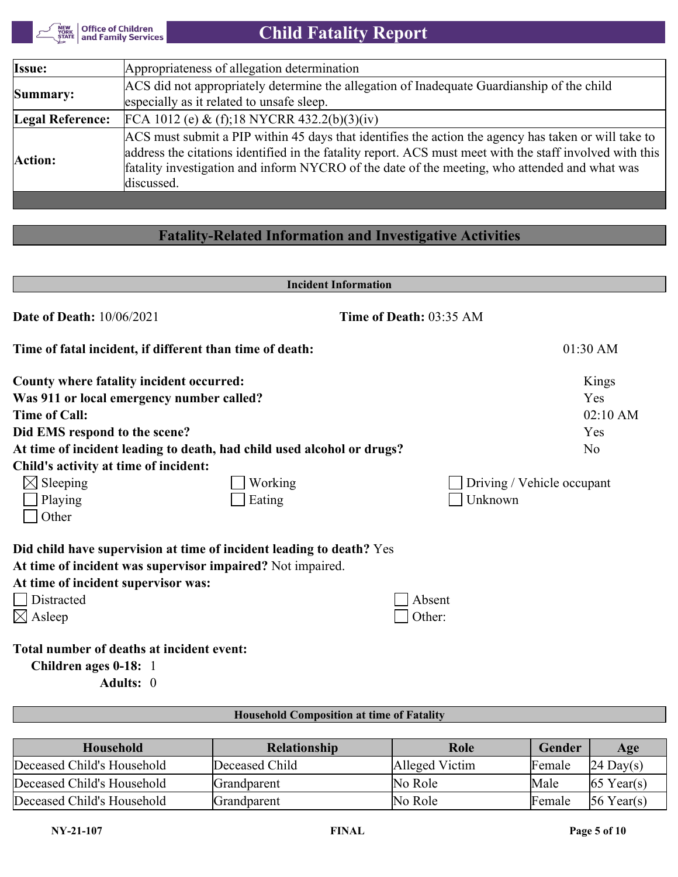

| <b>Issue:</b>           | Appropriateness of allegation determination                                                                                                                                                                                                                                                                                     |
|-------------------------|---------------------------------------------------------------------------------------------------------------------------------------------------------------------------------------------------------------------------------------------------------------------------------------------------------------------------------|
| Summary:                | ACS did not appropriately determine the allegation of Inadequate Guardianship of the child<br>especially as it related to unsafe sleep.                                                                                                                                                                                         |
| <b>Legal Reference:</b> | FCA 1012 (e) & (f);18 NYCRR 432.2(b)(3)(iv)                                                                                                                                                                                                                                                                                     |
| <b>Action:</b>          | ACS must submit a PIP within 45 days that identifies the action the agency has taken or will take to<br>address the citations identified in the fatality report. ACS must meet with the staff involved with this<br>fatality investigation and inform NYCRO of the date of the meeting, who attended and what was<br>discussed. |

# **Fatality-Related Information and Investigative Activities**

| <b>Incident Information</b>                                                           |                            |  |  |  |  |
|---------------------------------------------------------------------------------------|----------------------------|--|--|--|--|
| <b>Date of Death: 10/06/2021</b><br>Time of Death: 03:35 AM                           |                            |  |  |  |  |
| Time of fatal incident, if different than time of death:                              | 01:30 AM                   |  |  |  |  |
| County where fatality incident occurred:<br>Was 911 or local emergency number called? | Kings<br>Yes               |  |  |  |  |
| <b>Time of Call:</b>                                                                  | 02:10 AM                   |  |  |  |  |
| Did EMS respond to the scene?                                                         | Yes                        |  |  |  |  |
| At time of incident leading to death, had child used alcohol or drugs?                | N <sub>o</sub>             |  |  |  |  |
| Child's activity at time of incident:                                                 |                            |  |  |  |  |
| $\boxtimes$ Sleeping<br>Working                                                       | Driving / Vehicle occupant |  |  |  |  |
| Eating<br>Playing<br>Other                                                            | Unknown                    |  |  |  |  |
|                                                                                       |                            |  |  |  |  |
| Did child have supervision at time of incident leading to death? Yes                  |                            |  |  |  |  |
| At time of incident was supervisor impaired? Not impaired.                            |                            |  |  |  |  |
| At time of incident supervisor was:                                                   |                            |  |  |  |  |
| Distracted                                                                            | Absent                     |  |  |  |  |
| $\boxtimes$ Asleep                                                                    | Other:                     |  |  |  |  |
| Total number of deaths at incident event:                                             |                            |  |  |  |  |
| Childran agos A.18, 1                                                                 |                            |  |  |  |  |

**Children ages 0-18:** 1

**Adults:** 0

### **Household Composition at time of Fatality**

| Household                  | <b>Relationship</b> | Role           | Gender | Age                    |
|----------------------------|---------------------|----------------|--------|------------------------|
| Deceased Child's Household | Deceased Child      | Alleged Victim | Female | $24 \text{ Day}(s)$    |
| Deceased Child's Household | Grandparent         | No Role        | Male   | $ 65 \text{ Year}(s) $ |
| Deceased Child's Household | Grandparent         | No Role        | Female | $56$ Year(s)           |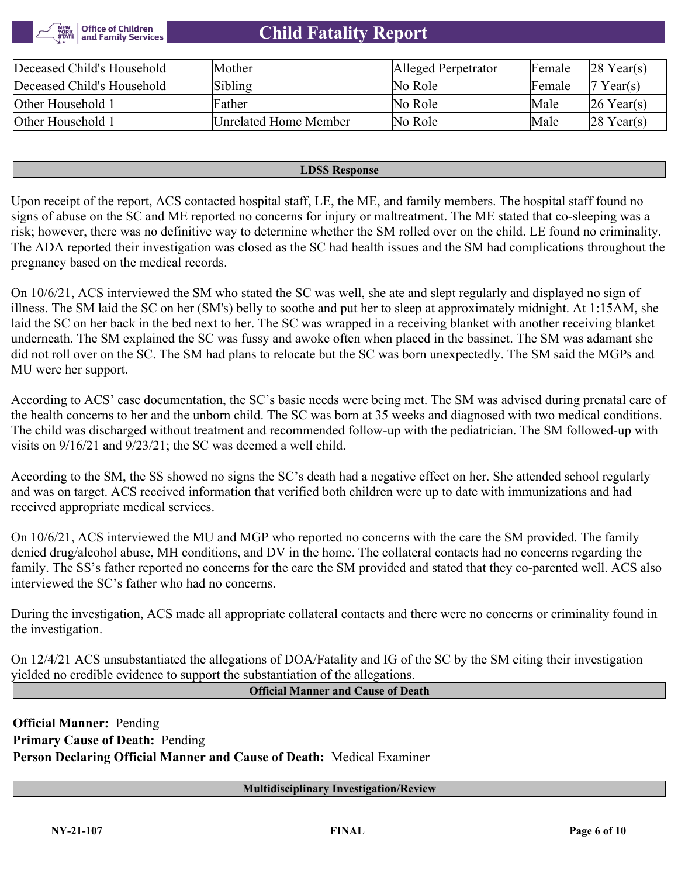

| Deceased Child's Household | Mother                | Alleged Perpetrator | Female | $28$ Year(s) |
|----------------------------|-----------------------|---------------------|--------|--------------|
| Deceased Child's Household | Sibling               | No Role             | Female | $7$ Year(s)  |
| Other Household 1          | Father                | No Role             | Male   | $26$ Year(s) |
| Other Household 1          | Unrelated Home Member | No Role             | Male   | $28$ Year(s) |

#### **LDSS Response**

Upon receipt of the report, ACS contacted hospital staff, LE, the ME, and family members. The hospital staff found no signs of abuse on the SC and ME reported no concerns for injury or maltreatment. The ME stated that co-sleeping was a risk; however, there was no definitive way to determine whether the SM rolled over on the child. LE found no criminality. The ADA reported their investigation was closed as the SC had health issues and the SM had complications throughout the pregnancy based on the medical records.

On 10/6/21, ACS interviewed the SM who stated the SC was well, she ate and slept regularly and displayed no sign of illness. The SM laid the SC on her (SM's) belly to soothe and put her to sleep at approximately midnight. At 1:15AM, she laid the SC on her back in the bed next to her. The SC was wrapped in a receiving blanket with another receiving blanket underneath. The SM explained the SC was fussy and awoke often when placed in the bassinet. The SM was adamant she did not roll over on the SC. The SM had plans to relocate but the SC was born unexpectedly. The SM said the MGPs and MU were her support.

According to ACS' case documentation, the SC's basic needs were being met. The SM was advised during prenatal care of the health concerns to her and the unborn child. The SC was born at 35 weeks and diagnosed with two medical conditions. The child was discharged without treatment and recommended follow-up with the pediatrician. The SM followed-up with visits on 9/16/21 and 9/23/21; the SC was deemed a well child.

According to the SM, the SS showed no signs the SC's death had a negative effect on her. She attended school regularly and was on target. ACS received information that verified both children were up to date with immunizations and had received appropriate medical services.

On 10/6/21, ACS interviewed the MU and MGP who reported no concerns with the care the SM provided. The family denied drug/alcohol abuse, MH conditions, and DV in the home. The collateral contacts had no concerns regarding the family. The SS's father reported no concerns for the care the SM provided and stated that they co-parented well. ACS also interviewed the SC's father who had no concerns.

During the investigation, ACS made all appropriate collateral contacts and there were no concerns or criminality found in the investigation.

On 12/4/21 ACS unsubstantiated the allegations of DOA/Fatality and IG of the SC by the SM citing their investigation yielded no credible evidence to support the substantiation of the allegations.

**Official Manner and Cause of Death**

**Official Manner:** Pending **Primary Cause of Death:** Pending **Person Declaring Official Manner and Cause of Death:** Medical Examiner

**Multidisciplinary Investigation/Review**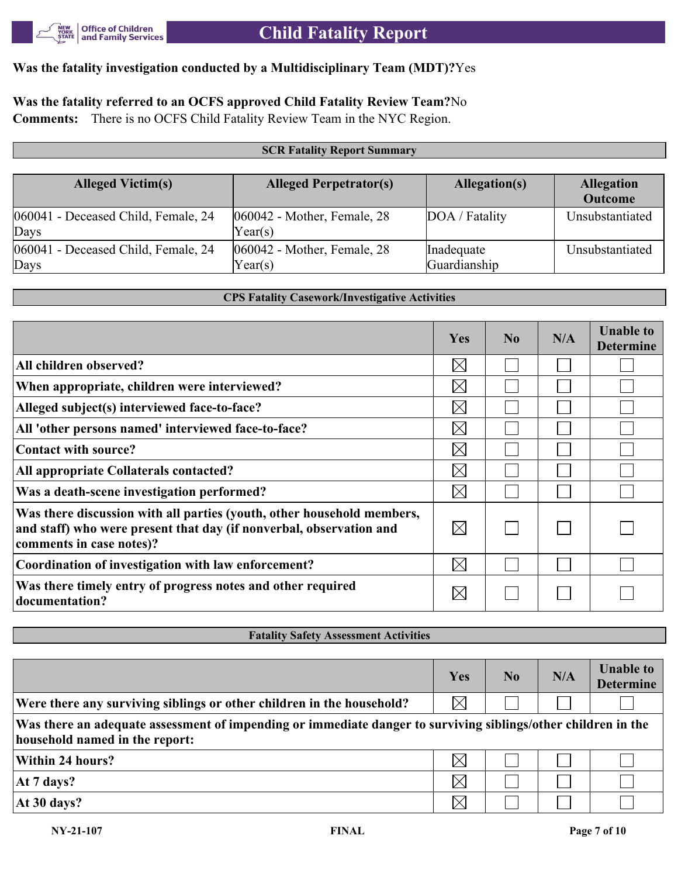

### **Was the fatality investigation conducted by a Multidisciplinary Team (MDT)?**Yes

### **Was the fatality referred to an OCFS approved Child Fatality Review Team?**No

**Comments:** There is no OCFS Child Fatality Review Team in the NYC Region.

### **SCR Fatality Report Summary**

| <b>Alleged Victim(s)</b>                    | <b>Alleged Perpetrator(s)</b>             | Allegation(s)              | <b>Allegation</b><br><b>Outcome</b> |
|---------------------------------------------|-------------------------------------------|----------------------------|-------------------------------------|
| 060041 - Deceased Child, Female, 24<br>Days | $ 060042$ - Mother, Female, 28<br>Year(s) | DOA / Fatality             | Unsubstantiated                     |
| 060041 - Deceased Child, Female, 24<br>Days | $ 060042$ - Mother, Female, 28<br>Year(s) | Inadequate<br>Guardianship | Unsubstantiated                     |

### **CPS Fatality Casework/Investigative Activities**

|                                                                                                                                                                           | Yes         | No | N/A | <b>Unable to</b><br><b>Determine</b> |
|---------------------------------------------------------------------------------------------------------------------------------------------------------------------------|-------------|----|-----|--------------------------------------|
| All children observed?                                                                                                                                                    | $\boxtimes$ |    |     |                                      |
| When appropriate, children were interviewed?                                                                                                                              | $\boxtimes$ |    |     |                                      |
| Alleged subject(s) interviewed face-to-face?                                                                                                                              | $\times$    |    |     |                                      |
| All 'other persons named' interviewed face-to-face?                                                                                                                       | $\boxtimes$ |    |     |                                      |
| <b>Contact with source?</b>                                                                                                                                               | $\boxtimes$ |    |     |                                      |
| All appropriate Collaterals contacted?                                                                                                                                    | $\boxtimes$ |    |     |                                      |
| Was a death-scene investigation performed?                                                                                                                                | $\boxtimes$ |    |     |                                      |
| Was there discussion with all parties (youth, other household members,<br>and staff) who were present that day (if nonverbal, observation and<br>comments in case notes)? | $\boxtimes$ |    |     |                                      |
| Coordination of investigation with law enforcement?                                                                                                                       | $\boxtimes$ |    |     |                                      |
| Was there timely entry of progress notes and other required<br>documentation?                                                                                             | $\times$    |    |     |                                      |

| <b>Fatality Safety Assessment Activities</b>                                                                                                    |             |                |     |                                      |  |  |  |
|-------------------------------------------------------------------------------------------------------------------------------------------------|-------------|----------------|-----|--------------------------------------|--|--|--|
|                                                                                                                                                 |             |                |     |                                      |  |  |  |
|                                                                                                                                                 | Yes         | N <sub>0</sub> | N/A | <b>Unable to</b><br><b>Determine</b> |  |  |  |
| Were there any surviving siblings or other children in the household?                                                                           |             |                |     |                                      |  |  |  |
| Was there an adequate assessment of impending or immediate danger to surviving siblings/other children in the<br>household named in the report: |             |                |     |                                      |  |  |  |
| <b>Within 24 hours?</b>                                                                                                                         | IX          |                |     |                                      |  |  |  |
| At 7 days?                                                                                                                                      | $\boxtimes$ |                |     |                                      |  |  |  |
| At 30 days?                                                                                                                                     |             |                |     |                                      |  |  |  |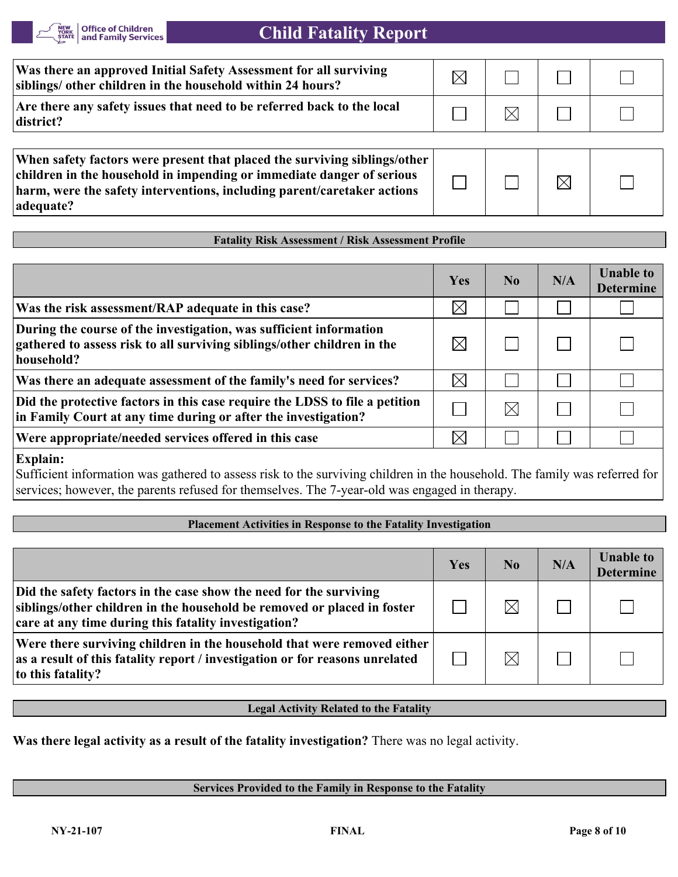

| Was there an approved Initial Safety Assessment for all surviving<br>siblings/ other children in the household within 24 hours? |  |  |
|---------------------------------------------------------------------------------------------------------------------------------|--|--|
| Are there any safety issues that need to be referred back to the local<br>district?                                             |  |  |
|                                                                                                                                 |  |  |

**When safety factors were present that placed the surviving siblings/other children in the household in impending or immediate danger of serious harm, were the safety interventions, including parent/caretaker actions adequate?**

### **Fatality Risk Assessment / Risk Assessment Profile**

|                                                                                                                                                             | Yes      | N <sub>0</sub> | N/A | <b>Unable to</b><br><b>Determine</b> |
|-------------------------------------------------------------------------------------------------------------------------------------------------------------|----------|----------------|-----|--------------------------------------|
| Was the risk assessment/RAP adequate in this case?                                                                                                          | $\times$ |                |     |                                      |
| During the course of the investigation, was sufficient information<br>gathered to assess risk to all surviving siblings/other children in the<br>household? |          |                |     |                                      |
| Was there an adequate assessment of the family's need for services?                                                                                         | $\times$ |                |     |                                      |
| Did the protective factors in this case require the LDSS to file a petition<br>in Family Court at any time during or after the investigation?               |          | $\times$       |     |                                      |
| Were appropriate/needed services offered in this case                                                                                                       | $\times$ |                |     |                                      |

### **Explain:**

Sufficient information was gathered to assess risk to the surviving children in the household. The family was referred for services; however, the parents refused for themselves. The 7-year-old was engaged in therapy.

### **Placement Activities in Response to the Fatality Investigation**

|                                                                                                                                                                                                       | Yes | N <sub>0</sub> | N/A | <b>Unable to</b><br><b>Determine</b> |
|-------------------------------------------------------------------------------------------------------------------------------------------------------------------------------------------------------|-----|----------------|-----|--------------------------------------|
| Did the safety factors in the case show the need for the surviving<br>siblings/other children in the household be removed or placed in foster<br>care at any time during this fatality investigation? |     |                |     |                                      |
| Were there surviving children in the household that were removed either<br>as a result of this fatality report / investigation or for reasons unrelated<br>to this fatality?                          |     | $\times$       |     |                                      |

### **Legal Activity Related to the Fatality**

**Was there legal activity as a result of the fatality investigation?** There was no legal activity.

### **Services Provided to the Family in Response to the Fatality**

 $\boxtimes$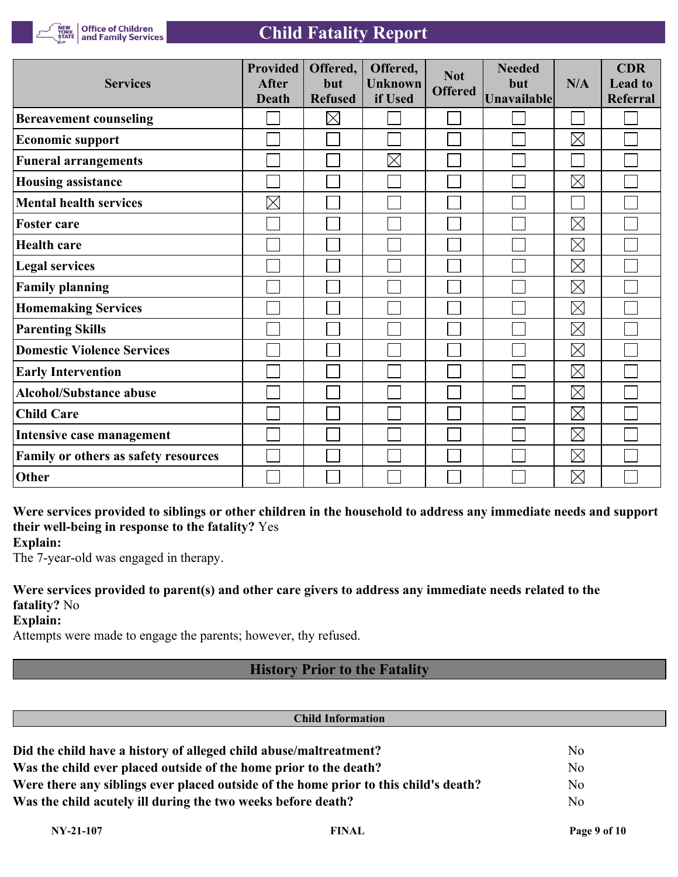

Office of Children<br>| and Family Services

| <b>Services</b>                      | <b>Provided</b><br><b>After</b><br><b>Death</b> | Offered,<br>but<br><b>Refused</b> | Offered,<br><b>Unknown</b><br>if Used | <b>Not</b><br><b>Offered</b> | <b>Needed</b><br>but<br><b>Unavailable</b> | N/A         | <b>CDR</b><br><b>Lead to</b><br><b>Referral</b> |
|--------------------------------------|-------------------------------------------------|-----------------------------------|---------------------------------------|------------------------------|--------------------------------------------|-------------|-------------------------------------------------|
| <b>Bereavement counseling</b>        |                                                 | $\times$                          |                                       |                              |                                            |             |                                                 |
| <b>Economic support</b>              |                                                 |                                   |                                       |                              |                                            | $\boxtimes$ |                                                 |
| <b>Funeral arrangements</b>          |                                                 |                                   | $\boxtimes$                           |                              |                                            |             |                                                 |
| <b>Housing assistance</b>            |                                                 |                                   |                                       |                              |                                            | $\boxtimes$ |                                                 |
| <b>Mental health services</b>        | $\boxtimes$                                     |                                   |                                       |                              |                                            |             |                                                 |
| <b>Foster care</b>                   |                                                 |                                   |                                       |                              |                                            | $\boxtimes$ |                                                 |
| <b>Health care</b>                   |                                                 |                                   |                                       |                              |                                            | $\boxtimes$ |                                                 |
| <b>Legal services</b>                |                                                 |                                   |                                       |                              |                                            | $\boxtimes$ |                                                 |
| <b>Family planning</b>               |                                                 |                                   |                                       |                              |                                            | $\boxtimes$ |                                                 |
| <b>Homemaking Services</b>           |                                                 |                                   |                                       |                              |                                            | $\boxtimes$ |                                                 |
| <b>Parenting Skills</b>              |                                                 |                                   |                                       |                              |                                            | $\boxtimes$ |                                                 |
| <b>Domestic Violence Services</b>    |                                                 |                                   |                                       |                              |                                            | $\boxtimes$ |                                                 |
| <b>Early Intervention</b>            |                                                 |                                   |                                       |                              |                                            | $\boxtimes$ |                                                 |
| <b>Alcohol/Substance abuse</b>       |                                                 |                                   |                                       |                              |                                            | $\boxtimes$ |                                                 |
| <b>Child Care</b>                    |                                                 |                                   |                                       |                              |                                            | $\boxtimes$ |                                                 |
| Intensive case management            |                                                 |                                   |                                       |                              |                                            | $\boxtimes$ |                                                 |
| Family or others as safety resources |                                                 |                                   |                                       |                              |                                            | $\boxtimes$ |                                                 |
| Other                                |                                                 |                                   |                                       |                              |                                            | $\boxtimes$ |                                                 |

# **Were services provided to siblings or other children in the household to address any immediate needs and support their well-being in response to the fatality?** Yes

**Explain:**

The 7-year-old was engaged in therapy.

# **Were services provided to parent(s) and other care givers to address any immediate needs related to the fatality?** No

**Explain:**

Attempts were made to engage the parents; however, thy refused.

# **History Prior to the Fatality**

| <b>Child Information</b>                                                             |              |                |  |  |  |  |
|--------------------------------------------------------------------------------------|--------------|----------------|--|--|--|--|
| Did the child have a history of alleged child abuse/maltreatment?                    |              | N <sub>0</sub> |  |  |  |  |
| Was the child ever placed outside of the home prior to the death?                    |              | N <sub>o</sub> |  |  |  |  |
| Were there any siblings ever placed outside of the home prior to this child's death? |              | N <sub>o</sub> |  |  |  |  |
| Was the child acutely ill during the two weeks before death?                         |              | N <sub>o</sub> |  |  |  |  |
| $NY-21-107$                                                                          | <b>FINAL</b> | Page 9 of 10   |  |  |  |  |